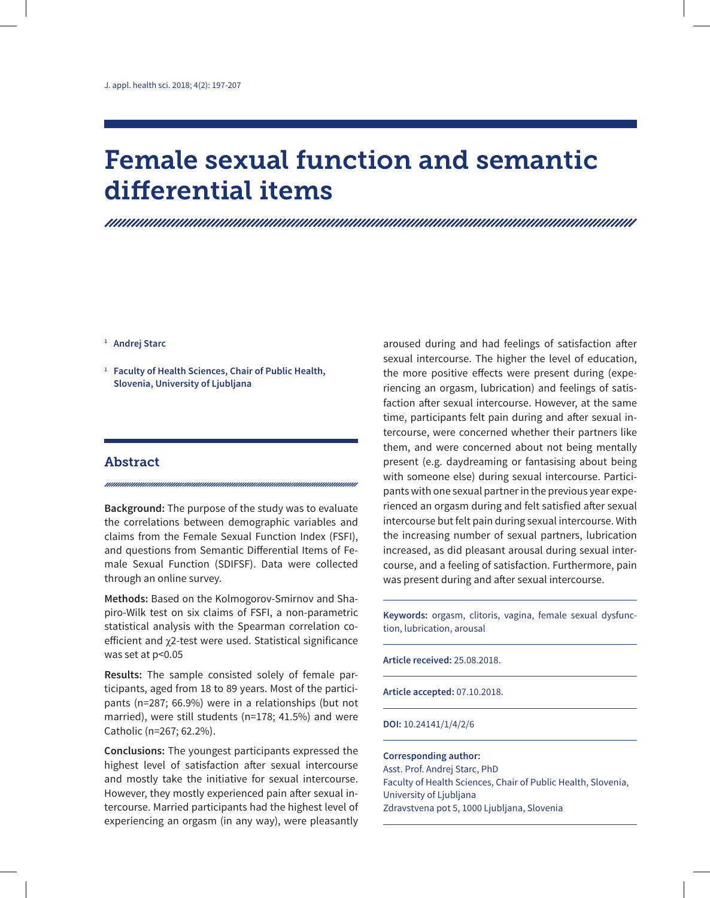# Female sexual function and semantic differential items

#### **<sup>1</sup> Andrej Starc**

**<sup>1</sup> Faculty of Health Sciences, Chair of Public Health, Slovenia, University of Ljubljana**

#### Abstract

**Background:** The purpose of the study was to evaluate the correlations between demographic variables and claims from the Female Sexual Function Index (FSFI), and questions from Semantic Differential Items of Female Sexual Function (SDIFSF). Data were collected through an online survey.

**Methods:** Based on the Kolmogorov-Smirnov and Shapiro-Wilk test on six claims of FSFI, a non-parametric statistical analysis with the Spearman correlation coefficient and χ2-test were used. Statistical significance was set at p<0.05

**Results:** The sample consisted solely of female participants, aged from 18 to 89 years. Most of the participants (n=287; 66.9%) were in a relationships (but not married), were still students (n=178; 41.5%) and were Catholic (n=267; 62.2%).

**Conclusions:** The youngest participants expressed the highest level of satisfaction after sexual intercourse and mostly take the initiative for sexual intercourse. However, they mostly experienced pain after sexual intercourse. Married participants had the highest level of experiencing an orgasm (in any way), were pleasantly aroused during and had feelings of satisfaction after sexual intercourse. The higher the level of education, the more positive effects were present during (experiencing an orgasm, lubrication) and feelings of satisfaction after sexual intercourse. However, at the same time, participants felt pain during and after sexual intercourse, were concerned whether their partners like them, and were concerned about not being mentally present (e.g. daydreaming or fantasising about being with someone else) during sexual intercourse. Participants with one sexual partner in the previous year experienced an orgasm during and felt satisfied after sexual intercourse but felt pain during sexual intercourse. With the increasing number of sexual partners, lubrication increased, as did pleasant arousal during sexual intercourse, and a feeling of satisfaction. Furthermore, pain was present during and after sexual intercourse.

**Keywords:** orgasm, clitoris, vagina, female sexual dysfunction, lubrication, arousal

**Article received:** 25.08.2018.

**Article accepted:** 07.10.2018.

#### **DOI:** 10.24141/1/4/2/6

#### **Corresponding author:** Asst. Prof. Andrej Starc, PhD Faculty of Health Sciences, Chair of Public Health, Slovenia, University of Ljubljana Zdravstvena pot 5, 1000 Ljubljana, Slovenia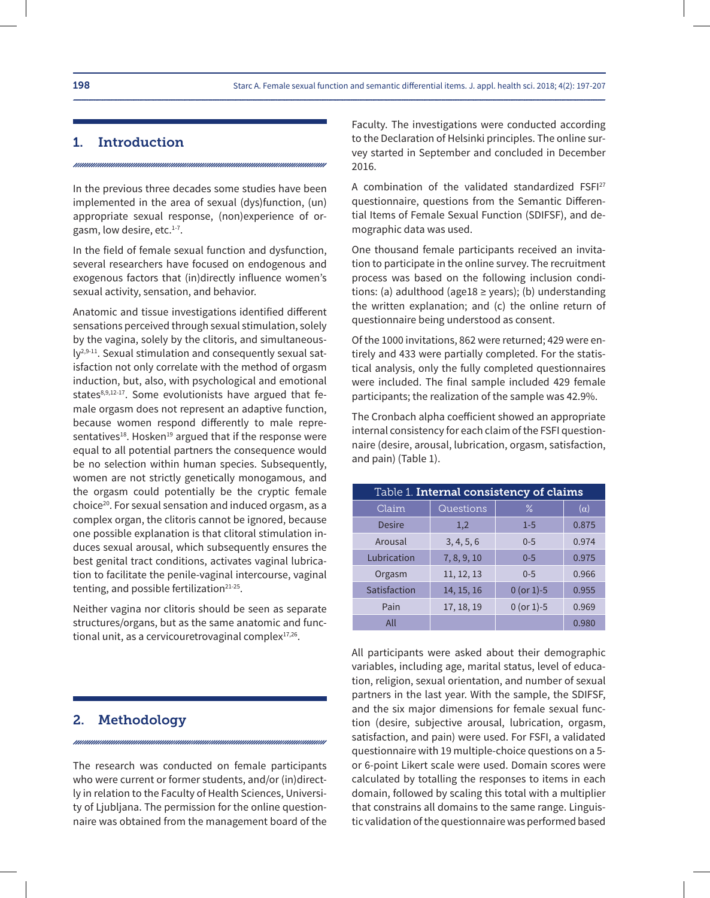#### 1. Introduction

In the previous three decades some studies have been implemented in the area of sexual (dys)function, (un) appropriate sexual response, (non)experience of orgasm, low desire, etc.1-7.

In the field of female sexual function and dysfunction, several researchers have focused on endogenous and exogenous factors that (in)directly influence women's sexual activity, sensation, and behavior.

Anatomic and tissue investigations identified different sensations perceived through sexual stimulation, solely by the vagina, solely by the clitoris, and simultaneously2,9-11. Sexual stimulation and consequently sexual satisfaction not only correlate with the method of orgasm induction, but, also, with psychological and emotional states<sup>8,9,12-17</sup>. Some evolutionists have argued that female orgasm does not represent an adaptive function, because women respond differently to male representatives<sup>18</sup>. Hosken<sup>19</sup> argued that if the response were equal to all potential partners the consequence would be no selection within human species. Subsequently, women are not strictly genetically monogamous, and the orgasm could potentially be the cryptic female choice20. For sexual sensation and induced orgasm, as a complex organ, the clitoris cannot be ignored, because one possible explanation is that clitoral stimulation induces sexual arousal, which subsequently ensures the best genital tract conditions, activates vaginal lubrication to facilitate the penile-vaginal intercourse, vaginal tenting, and possible fertilization<sup>21-25</sup>.

Neither vagina nor clitoris should be seen as separate structures/organs, but as the same anatomic and functional unit, as a cervicouretrovaginal complex<sup>17,26</sup>.

#### 2. Methodology

The research was conducted on female participants who were current or former students, and/or (in)directly in relation to the Faculty of Health Sciences, University of Ljubljana. The permission for the online questionnaire was obtained from the management board of the

Faculty. The investigations were conducted according to the Declaration of Helsinki principles. The online survey started in September and concluded in December 2016.

A combination of the validated standardized FSFI27 questionnaire, questions from the Semantic Differential Items of Female Sexual Function (SDIFSF), and demographic data was used.

One thousand female participants received an invitation to participate in the online survey. The recruitment process was based on the following inclusion conditions: (a) adulthood (age18  $\ge$  years); (b) understanding the written explanation; and (c) the online return of questionnaire being understood as consent.

Of the 1000 invitations, 862 were returned; 429 were entirely and 433 were partially completed. For the statistical analysis, only the fully completed questionnaires were included. The final sample included 429 female participants; the realization of the sample was 42.9%.

The Cronbach alpha coefficient showed an appropriate internal consistency for each claim of the FSFI questionnaire (desire, arousal, lubrication, orgasm, satisfaction, and pain) (Table 1).

| Table 1. Internal consistency of claims |             |              |            |  |  |  |  |  |  |
|-----------------------------------------|-------------|--------------|------------|--|--|--|--|--|--|
| Claim                                   | Questions   | $\%$         | $(\alpha)$ |  |  |  |  |  |  |
| Desire                                  | 1,2         | $1 - 5$      | 0.875      |  |  |  |  |  |  |
| Arousal                                 | 3, 4, 5, 6  | $0 - 5$      | 0.974      |  |  |  |  |  |  |
| Lubrication                             | 7, 8, 9, 10 | $0 - 5$      | 0.975      |  |  |  |  |  |  |
| Orgasm                                  | 11, 12, 13  | $0 - 5$      | 0.966      |  |  |  |  |  |  |
| Satisfaction                            | 14, 15, 16  | $0$ (or 1)-5 | 0.955      |  |  |  |  |  |  |
| Pain                                    | 17, 18, 19  | $0$ (or 1)-5 | 0.969      |  |  |  |  |  |  |
| All                                     |             |              | 0.980      |  |  |  |  |  |  |

All participants were asked about their demographic variables, including age, marital status, level of education, religion, sexual orientation, and number of sexual partners in the last year. With the sample, the SDIFSF, and the six major dimensions for female sexual function (desire, subjective arousal, lubrication, orgasm, satisfaction, and pain) were used. For FSFI, a validated questionnaire with 19 multiple-choice questions on a 5 or 6-point Likert scale were used. Domain scores were calculated by totalling the responses to items in each domain, followed by scaling this total with a multiplier that constrains all domains to the same range. Linguistic validation of the questionnaire was performed based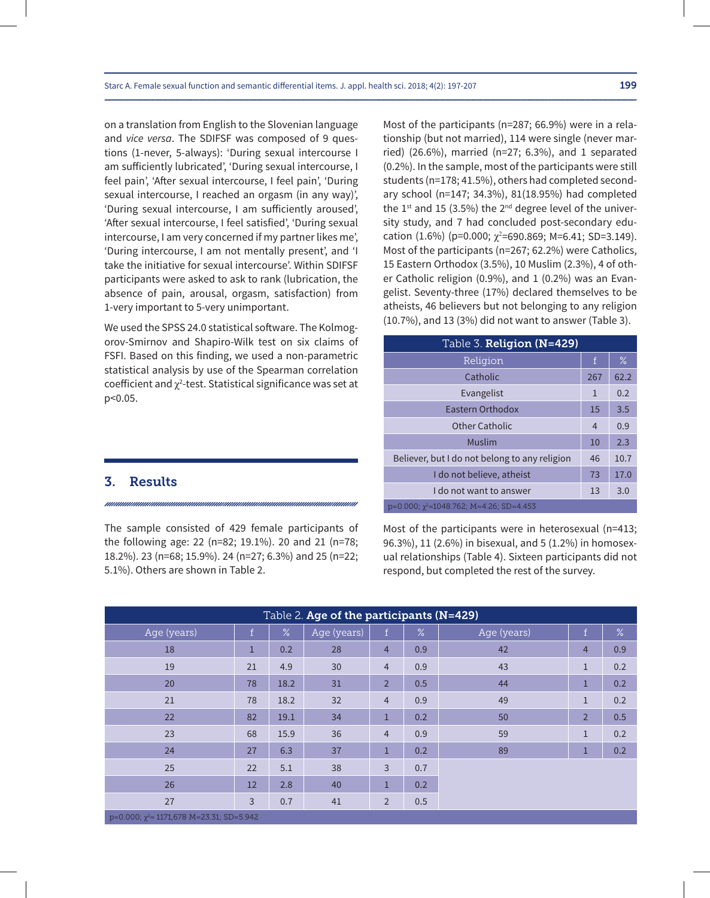on a translation from English to the Slovenian language and *vice versa*. The SDIFSF was composed of 9 questions (1-never, 5-always): 'During sexual intercourse I am sufficiently lubricated', 'During sexual intercourse, I feel pain', 'After sexual intercourse, I feel pain', 'During sexual intercourse, I reached an orgasm (in any way)', 'During sexual intercourse, I am sufficiently aroused', 'After sexual intercourse, I feel satisfied', 'During sexual intercourse, I am very concerned if my partner likes me', 'During intercourse, I am not mentally present', and 'I take the initiative for sexual intercourse'. Within SDIFSF participants were asked to ask to rank (lubrication, the absence of pain, arousal, orgasm, satisfaction) from 1-very important to 5-very unimportant.

We used the SPSS 24.0 statistical software. The Kolmogorov-Smirnov and Shapiro-Wilk test on six claims of FSFI. Based on this finding, we used a non-parametric statistical analysis by use of the Spearman correlation coefficient and  $\chi^2$ -test. Statistical significance was set at p<0.05.

#### 3. Results

The sample consisted of 429 female participants of the following age: 22 (n=82; 19.1%). 20 and 21 (n=78; 18.2%). 23 (n=68; 15.9%). 24 (n=27; 6.3%) and 25 (n=22; 5.1%). Others are shown in Table 2.

Most of the participants (n=287; 66.9%) were in a relationship (but not married), 114 were single (never married) (26.6%), married (n=27; 6.3%), and 1 separated (0.2%). In the sample, most of the participants were still students (n=178; 41.5%), others had completed secondary school (n=147; 34.3%), 81(18.95%) had completed the  $1^{st}$  and 15 (3.5%) the  $2^{nd}$  degree level of the university study, and 7 had concluded post-secondary education  $(1.6\%)$  (p=0.000;  $\chi^2$ =690.869; M=6.41; SD=3.149). Most of the participants (n=267; 62.2%) were Catholics, 15 Eastern Orthodox (3.5%), 10 Muslim (2.3%), 4 of other Catholic religion (0.9%), and 1 (0.2%) was an Evangelist. Seventy-three (17%) declared themselves to be atheists, 46 believers but not belonging to any religion (10.7%), and 13 (3%) did not want to answer (Table 3).

| Table 3. Religion (N=429)                          |                |      |
|----------------------------------------------------|----------------|------|
| Religion                                           | f              | $\%$ |
| Catholic                                           | 267            | 62.2 |
| Evangelist                                         | 1              | 0.2  |
| <b>Fastern Orthodox</b>                            | 15             | 3.5  |
| Other Catholic                                     | $\overline{4}$ | 0.9  |
| Muslim                                             | 10             | 2.3  |
| Believer, but I do not belong to any religion      | 46             | 10.7 |
| I do not believe, atheist                          | 73             | 17.0 |
| I do not want to answer                            | 13             | 3.0  |
| $p=0.000$ ; $\gamma^2$ =1048.762; M=4.26; SD=4.453 |                |      |

Most of the participants were in heterosexual (n=413; 96.3%), 11 (2.6%) in bisexual, and 5 (1.2%) in homosexual relationships (Table 4). Sixteen participants did not respond, but completed the rest of the survey.

| Table 2. Age of the participants (N=429)            |                |      |             |                |      |             |                |               |  |  |  |  |
|-----------------------------------------------------|----------------|------|-------------|----------------|------|-------------|----------------|---------------|--|--|--|--|
| Age (years)                                         | ١f.            | $\%$ | Age (years) | $\mathbf f$    | $\%$ | Age (years) | $\mathbf f$    | $\frac{1}{6}$ |  |  |  |  |
| 18                                                  | 1              | 0.2  | 28          | $\overline{4}$ | 0.9  | 42          | $\overline{4}$ | 0.9           |  |  |  |  |
| 19                                                  | 21             | 4.9  | 30          | $\overline{4}$ | 0.9  | 43          | $1\,$          | 0.2           |  |  |  |  |
| 20                                                  | 78             | 18.2 | 31          | $\overline{2}$ | 0.5  | 44          | $\mathbf{1}$   | 0.2           |  |  |  |  |
| 21                                                  | 78             | 18.2 | 32          | $\overline{4}$ | 0.9  | 49          | $\mathbf{1}$   | 0.2           |  |  |  |  |
| 22                                                  | 82             | 19.1 | 34          | $\mathbf{1}$   | 0.2  | 50          | $\overline{2}$ | 0.5           |  |  |  |  |
| 23                                                  | 68             | 15.9 | 36          | $\overline{4}$ | 0.9  | 59          | $\mathbf{1}$   | 0.2           |  |  |  |  |
| 24                                                  | 27             | 6.3  | 37          | $\mathbf{1}$   | 0.2  | 89          | 1              | 0.2           |  |  |  |  |
| 25                                                  | 22             | 5.1  | 38          | 3              | 0.7  |             |                |               |  |  |  |  |
| 26                                                  | 12             | 2.8  | 40          | $\mathbf{1}$   | 0.2  |             |                |               |  |  |  |  |
| 27                                                  | $\overline{3}$ | 0.7  | 41          | $\overline{2}$ | 0.5  |             |                |               |  |  |  |  |
| $p=0.000$ ; $\gamma^2$ = 1171,678 M=23.31; SD=5.942 |                |      |             |                |      |             |                |               |  |  |  |  |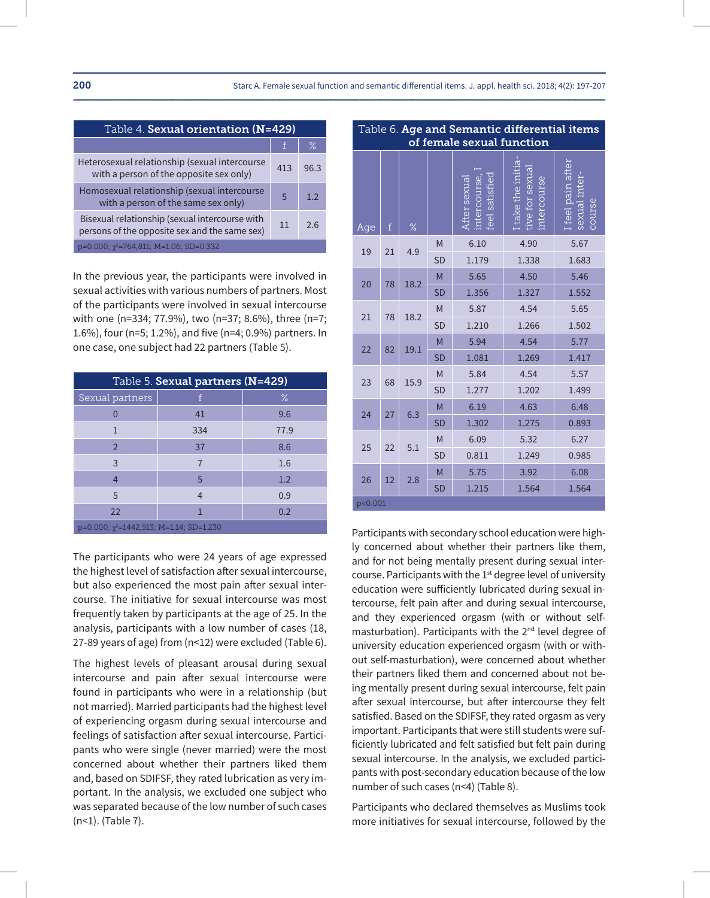| Table 4. Sexual orientation (N=429)                                                             |     |      |  |  |  |  |  |
|-------------------------------------------------------------------------------------------------|-----|------|--|--|--|--|--|
|                                                                                                 |     | $\%$ |  |  |  |  |  |
| Heterosexual relationship (sexual intercourse<br>with a person of the opposite sex only)        | 413 | 96.3 |  |  |  |  |  |
| Homosexual relationship (sexual intercourse<br>with a person of the same sex only)              | .5  | 12   |  |  |  |  |  |
| Bisexual relationship (sexual intercourse with<br>persons of the opposite sex and the same sex) | 11  | 26   |  |  |  |  |  |
| $p=0.000$ ; $\chi^2$ =764,811; M=1.06; SD=0.332                                                 |     |      |  |  |  |  |  |

In the previous year, the participants were involved in sexual activities with various numbers of partners. Most of the participants were involved in sexual intercourse with one (n=334; 77.9%), two (n=37; 8.6%), three (n=7; 1.6%), four (n=5; 1.2%), and five (n=4; 0.9%) partners. In one case, one subject had 22 partners (Table 5).

| Table 5. Sexual partners (N=429)                 |                |      |  |  |  |  |  |  |  |
|--------------------------------------------------|----------------|------|--|--|--|--|--|--|--|
| Sexual partners                                  | f              | $\%$ |  |  |  |  |  |  |  |
|                                                  | 41             | 9.6  |  |  |  |  |  |  |  |
| 1                                                | 334            | 77.9 |  |  |  |  |  |  |  |
| $\mathcal{P}$                                    | 37             | 8.6  |  |  |  |  |  |  |  |
| 3                                                | 7              | 1.6  |  |  |  |  |  |  |  |
| $\overline{4}$                                   | 5              | 1.2  |  |  |  |  |  |  |  |
| 5                                                | $\overline{4}$ | 0.9  |  |  |  |  |  |  |  |
| 22                                               | 1              | 0.2  |  |  |  |  |  |  |  |
| $p=0.000$ ; $\chi^2$ =1442,513; M=1.14; SD=1.230 |                |      |  |  |  |  |  |  |  |

The participants who were 24 years of age expressed the highest level of satisfaction after sexual intercourse, but also experienced the most pain after sexual intercourse. The initiative for sexual intercourse was most frequently taken by participants at the age of 25. In the analysis, participants with a low number of cases (18, 27-89 years of age) from (n<12) were excluded (Table 6).

The highest levels of pleasant arousal during sexual intercourse and pain after sexual intercourse were found in participants who were in a relationship (but not married). Married participants had the highest level of experiencing orgasm during sexual intercourse and feelings of satisfaction after sexual intercourse. Participants who were single (never married) were the most concerned about whether their partners liked them and, based on SDIFSF, they rated lubrication as very important. In the analysis, we excluded one subject who was separated because of the low number of such cases (n<1). (Table 7).

|         | of female sexual function |      |           |                                               |                                                    |                                              |  |  |  |  |  |
|---------|---------------------------|------|-----------|-----------------------------------------------|----------------------------------------------------|----------------------------------------------|--|--|--|--|--|
| Age     | $\mathbf f$               | $\%$ |           | intercourse.<br>feel satisfied<br>After sexua | I take the initia<br>tive for sexua<br>intercourse | I feel pain after<br>sexual inter-<br>course |  |  |  |  |  |
| 19      | 21                        | 4.9  | M         | 6.10                                          | 4.90                                               | 5.67                                         |  |  |  |  |  |
|         |                           |      | <b>SD</b> | 1.179                                         | 1.338                                              | 1.683                                        |  |  |  |  |  |
|         |                           | 18.2 | M         | 5.65                                          | 4.50                                               | 5.46                                         |  |  |  |  |  |
| 20      | 78                        |      | <b>SD</b> | 1.356                                         | 1.327                                              | 1.552                                        |  |  |  |  |  |
|         | 78                        | 18.2 | M         | 5.87                                          | 4.54                                               | 5.65                                         |  |  |  |  |  |
| 21      |                           |      | <b>SD</b> | 1.210                                         | 1.266                                              | 1.502                                        |  |  |  |  |  |
| 22      | 82                        | 19.1 | M         | 5.94                                          | 4.54                                               | 5.77                                         |  |  |  |  |  |
|         |                           |      | <b>SD</b> | 1.081                                         | 1.269                                              | 1.417                                        |  |  |  |  |  |
| 23      | 68                        | 15.9 | M         | 5.84                                          | 4.54                                               | 5.57                                         |  |  |  |  |  |
|         |                           |      | <b>SD</b> | 1.277                                         | 1.202                                              | 1.499                                        |  |  |  |  |  |
| 24      | 27                        | 6.3  | M         | 6.19                                          | 4.63                                               | 6.48                                         |  |  |  |  |  |
|         |                           |      | <b>SD</b> | 1.302                                         | 1.275                                              | 0.893                                        |  |  |  |  |  |
| 25      | 22                        | 5.1  | M         | 6.09                                          | 5.32                                               | 6.27                                         |  |  |  |  |  |
|         |                           |      | <b>SD</b> | 0.811                                         | 1.249                                              | 0.985                                        |  |  |  |  |  |
| 26      | 12                        | 2.8  | M         | 5.75                                          | 3.92                                               | 6.08                                         |  |  |  |  |  |
|         |                           |      | <b>SD</b> | 1.215                                         | 1.564                                              | 1.564                                        |  |  |  |  |  |
| p<0.001 |                           |      |           |                                               |                                                    |                                              |  |  |  |  |  |

Table 6. Age and Semantic differential items

Participants with secondary school education were highly concerned about whether their partners like them, and for not being mentally present during sexual intercourse. Participants with the 1<sup>st</sup> degree level of university education were sufficiently lubricated during sexual intercourse, felt pain after and during sexual intercourse, and they experienced orgasm (with or without selfmasturbation). Participants with the 2<sup>nd</sup> level degree of university education experienced orgasm (with or without self-masturbation), were concerned about whether their partners liked them and concerned about not being mentally present during sexual intercourse, felt pain after sexual intercourse, but after intercourse they felt satisfied. Based on the SDIFSF, they rated orgasm as very important. Participants that were still students were sufficiently lubricated and felt satisfied but felt pain during sexual intercourse. In the analysis, we excluded participants with post-secondary education because of the low number of such cases (n<4) (Table 8).

Participants who declared themselves as Muslims took more initiatives for sexual intercourse, followed by the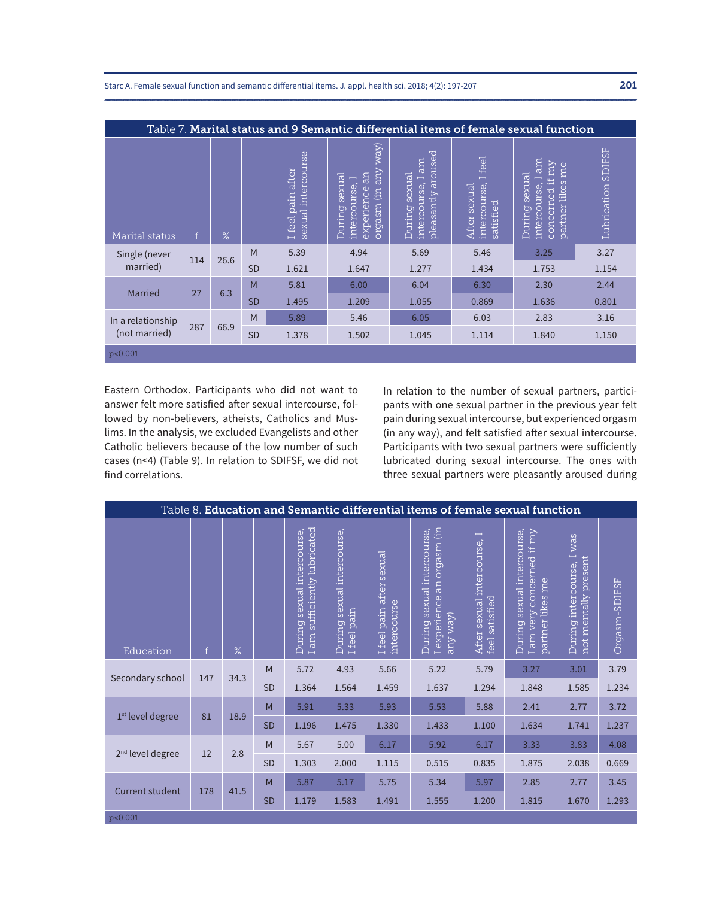|                   | Table 7. Marital status and 9 Semantic differential items of female sexual function |               |           |                                         |                                                                                                                                 |                                                                   |                                                   |                                                                                                |                       |  |  |  |
|-------------------|-------------------------------------------------------------------------------------|---------------|-----------|-----------------------------------------|---------------------------------------------------------------------------------------------------------------------------------|-------------------------------------------------------------------|---------------------------------------------------|------------------------------------------------------------------------------------------------|-----------------------|--|--|--|
| Marital status    | $\mathsf{f}$                                                                        | $\frac{9}{6}$ |           | sexual intercourse<br>I feel pain after | way)<br>any<br>an<br>sexual<br>$\overline{\phantom{0}}$<br>intercourse,<br>experience<br>(in<br><u>ursebro</u><br><b>During</b> | aroused<br>I am<br>sexual<br>intercourse,<br>pleasantly<br>During | feel<br>intercourse,<br>After sexual<br>satisfied | m<br>kur<br>me<br>sexual<br>Ē,<br>Ē<br>likes<br>intercourse,<br>concerned<br>partner<br>During | SDIFSF<br>Lubrication |  |  |  |
| Single (never     | 114                                                                                 | 26.6          | M         | 5.39                                    | 4.94                                                                                                                            | 5.69                                                              | 5.46                                              | 3.25                                                                                           | 3.27                  |  |  |  |
| married)          |                                                                                     |               | <b>SD</b> | 1.621                                   | 1.647                                                                                                                           | 1.277                                                             | 1.434                                             | 1.753                                                                                          | 1.154                 |  |  |  |
| Married           | 27                                                                                  | 6.3           | M         | 5.81                                    | 6.00                                                                                                                            | 6.04                                                              | 6.30                                              | 2.30                                                                                           | 2.44                  |  |  |  |
|                   |                                                                                     |               | <b>SD</b> | 1.495                                   | 1.209                                                                                                                           | 1.055                                                             | 0.869                                             | 1.636                                                                                          | 0.801                 |  |  |  |
| In a relationship |                                                                                     |               | M         | 5.89                                    | 5.46                                                                                                                            | 6.05                                                              | 6.03                                              | 2.83                                                                                           | 3.16                  |  |  |  |
| (not married)     | 287                                                                                 | 66.9          | <b>SD</b> | 1.378                                   | 1.502                                                                                                                           | 1.045                                                             | 1.114                                             | 1.840                                                                                          | 1.150                 |  |  |  |
| p<0.001           |                                                                                     |               |           |                                         |                                                                                                                                 |                                                                   |                                                   |                                                                                                |                       |  |  |  |

Eastern Orthodox. Participants who did not want to answer felt more satisfied after sexual intercourse, followed by non-believers, atheists, Catholics and Muslims. In the analysis, we excluded Evangelists and other Catholic believers because of the low number of such cases (n<4) (Table 9). In relation to SDIFSF, we did not find correlations.

In relation to the number of sexual partners, participants with one sexual partner in the previous year felt pain during sexual intercourse, but experienced orgasm (in any way), and felt satisfied after sexual intercourse. Participants with two sexual partners were sufficiently lubricated during sexual intercourse. The ones with three sexual partners were pleasantly aroused during

| Table 8. Education and Semantic differential items of female sexual function |                 |      |           |                                                                      |                                                |                                         |                                                                      |                                                                         |                                                                                 |                                                                    |               |  |
|------------------------------------------------------------------------------|-----------------|------|-----------|----------------------------------------------------------------------|------------------------------------------------|-----------------------------------------|----------------------------------------------------------------------|-------------------------------------------------------------------------|---------------------------------------------------------------------------------|--------------------------------------------------------------------|---------------|--|
| Education                                                                    | $f_{\parallel}$ | $\%$ |           | I am sufficiently lubricated<br>sexual intercourse,<br><b>During</b> | sexual intercourse,<br>pain<br>During<br>Ifeel | I feel pain after sexual<br>intercourse | I experience an orgasm (in<br>During sexual intercourse,<br>any way) | $\overline{\phantom{0}}$<br>After sexual intercourse,<br>feel satisfied | During sexual intercourse,<br>I am very concerned if my<br>likes me<br>partner] | was<br>$\mapsto$<br>present<br>During intercourse,<br>not mentally | Orgasm-SDIFSF |  |
|                                                                              | 147             | 34.3 | M         | 5.72                                                                 | 4.93                                           | 5.66                                    | 5.22                                                                 | 5.79                                                                    | 3.27                                                                            | 3.01                                                               | 3.79          |  |
| Secondary school                                                             |                 |      | SD        | 1.364                                                                | 1.564                                          | 1.459                                   | 1.637                                                                | 1.294                                                                   | 1.848                                                                           | 1.585                                                              | 1.234         |  |
| 1 <sup>st</sup> level degree                                                 | 81              | 18.9 | M         | 5.91                                                                 | 5.33                                           | 5.93                                    | 5.53                                                                 | 5.88                                                                    | 2.41                                                                            | 2.77                                                               | 3.72          |  |
|                                                                              |                 |      | <b>SD</b> | 1.196                                                                | 1.475                                          | 1.330                                   | 1.433                                                                | 1.100                                                                   | 1.634                                                                           | 1.741                                                              | 1.237         |  |
| 2 <sup>nd</sup> level degree                                                 | 12              | 2.8  | M         | 5.67                                                                 | 5.00                                           | 6.17                                    | 5.92                                                                 | 6.17                                                                    | 3.33                                                                            | 3.83                                                               | 4.08          |  |
|                                                                              |                 |      | <b>SD</b> | 1.303                                                                | 2.000                                          | 1.115                                   | 0.515                                                                | 0.835                                                                   | 1.875                                                                           | 2.038                                                              | 0.669         |  |
|                                                                              | 178             | 41.5 | M         | 5.87                                                                 | 5.17                                           | 5.75                                    | 5.34                                                                 | 5.97                                                                    | 2.85                                                                            | 2.77                                                               | 3.45          |  |
| <b>Current student</b>                                                       |                 |      | <b>SD</b> | 1.179                                                                | 1.583                                          | 1.491                                   | 1.555                                                                | 1.200                                                                   | 1.815                                                                           | 1.670                                                              | 1.293         |  |
| p<0.001                                                                      |                 |      |           |                                                                      |                                                |                                         |                                                                      |                                                                         |                                                                                 |                                                                    |               |  |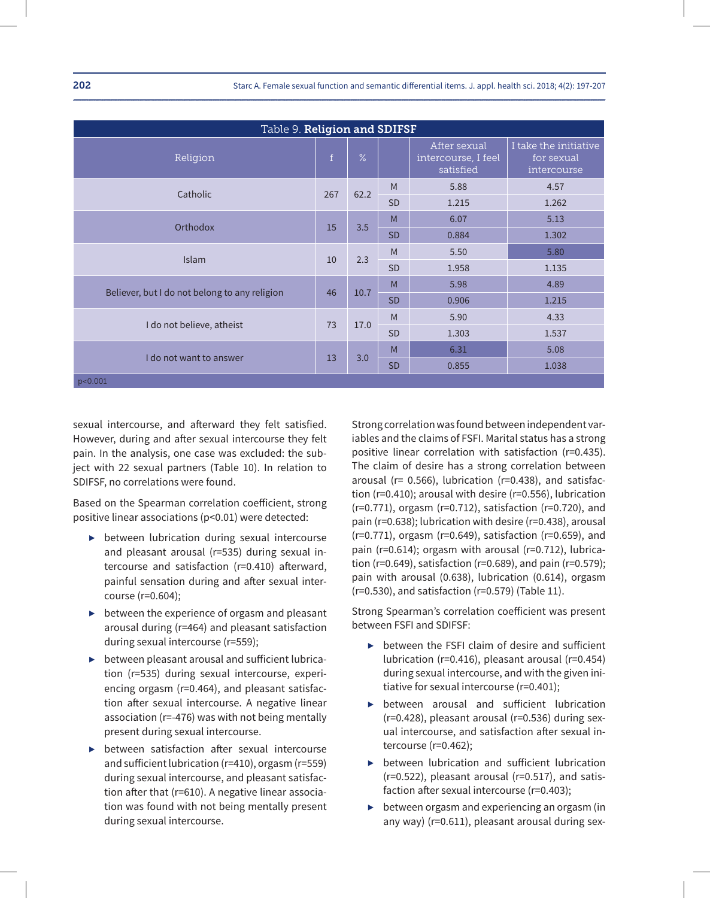| Table 9. Religion and SDIFSF                  |             |      |           |                                                  |                                                    |  |  |  |  |  |  |
|-----------------------------------------------|-------------|------|-----------|--------------------------------------------------|----------------------------------------------------|--|--|--|--|--|--|
| Religion                                      | $\mathbf f$ | $\%$ |           | After sexual<br>intercourse, I feel<br>satisfied | I take the initiative<br>for sexual<br>intercourse |  |  |  |  |  |  |
| Catholic                                      | 267         | 62.2 | M         | 5.88                                             | 4.57                                               |  |  |  |  |  |  |
|                                               |             |      | <b>SD</b> | 1.215                                            | 1.262                                              |  |  |  |  |  |  |
| Orthodox                                      |             | 3.5  | M         | 6.07                                             | 5.13                                               |  |  |  |  |  |  |
|                                               | 15          |      | <b>SD</b> | 0.884                                            | 1.302                                              |  |  |  |  |  |  |
| <b>Islam</b>                                  | 10          | 2.3  | M         | 5.50                                             | 5.80                                               |  |  |  |  |  |  |
|                                               |             |      | <b>SD</b> | 1.958                                            | 1.135                                              |  |  |  |  |  |  |
|                                               | 46          | 10.7 | M         | 5.98                                             | 4.89                                               |  |  |  |  |  |  |
| Believer, but I do not belong to any religion |             |      | <b>SD</b> | 0.906                                            | 1.215                                              |  |  |  |  |  |  |
|                                               | 73          |      | M         | 5.90                                             | 4.33                                               |  |  |  |  |  |  |
| I do not believe, atheist                     |             | 17.0 | <b>SD</b> | 1.303                                            | 1.537                                              |  |  |  |  |  |  |
|                                               |             |      | M         | 6.31                                             | 5.08                                               |  |  |  |  |  |  |
| I do not want to answer                       | 13          | 3.0  | <b>SD</b> | 0.855                                            | 1.038                                              |  |  |  |  |  |  |
| p<0.001                                       |             |      |           |                                                  |                                                    |  |  |  |  |  |  |

sexual intercourse, and afterward they felt satisfied. However, during and after sexual intercourse they felt pain. In the analysis, one case was excluded: the subject with 22 sexual partners (Table 10). In relation to SDIFSF, no correlations were found.

Based on the Spearman correlation coefficient, strong positive linear associations (p<0.01) were detected:

- ▶ between lubrication during sexual intercourse and pleasant arousal (r=535) during sexual intercourse and satisfaction (r=0.410) afterward, painful sensation during and after sexual intercourse (r=0.604);
- $\triangleright$  between the experience of orgasm and pleasant arousal during (r=464) and pleasant satisfaction during sexual intercourse (r=559);
- $\triangleright$  between pleasant arousal and sufficient lubrication (r=535) during sexual intercourse, experiencing orgasm (r=0.464), and pleasant satisfaction after sexual intercourse. A negative linear association (r=-476) was with not being mentally present during sexual intercourse.
- ▶ between satisfaction after sexual intercourse and sufficient lubrication (r=410), orgasm (r=559) during sexual intercourse, and pleasant satisfaction after that (r=610). A negative linear association was found with not being mentally present during sexual intercourse.

Strong correlation was found between independent variables and the claims of FSFI. Marital status has a strong positive linear correlation with satisfaction (r=0.435). The claim of desire has a strong correlation between arousal (r= 0.566), lubrication (r=0.438), and satisfaction (r=0.410); arousal with desire (r=0.556), lubrication (r=0.771), orgasm (r=0.712), satisfaction (r=0.720), and pain (r=0.638); lubrication with desire (r=0.438), arousal (r=0.771), orgasm (r=0.649), satisfaction (r=0.659), and pain (r=0.614); orgasm with arousal (r=0.712), lubrication (r=0.649), satisfaction (r=0.689), and pain (r=0.579); pain with arousal (0.638), lubrication (0.614), orgasm (r=0.530), and satisfaction (r=0.579) (Table 11).

Strong Spearman's correlation coefficient was present between FSFI and SDIFSF:

- ▶ between the FSFI claim of desire and sufficient lubrication (r=0.416), pleasant arousal (r=0.454) during sexual intercourse, and with the given initiative for sexual intercourse (r=0.401);
- ▶ between arousal and sufficient lubrication (r=0.428), pleasant arousal (r=0.536) during sexual intercourse, and satisfaction after sexual intercourse (r=0.462);
- ▶ between lubrication and sufficient lubrication (r=0.522), pleasant arousal (r=0.517), and satisfaction after sexual intercourse (r=0.403);
- ▶ between orgasm and experiencing an orgasm (in any way) (r=0.611), pleasant arousal during sex-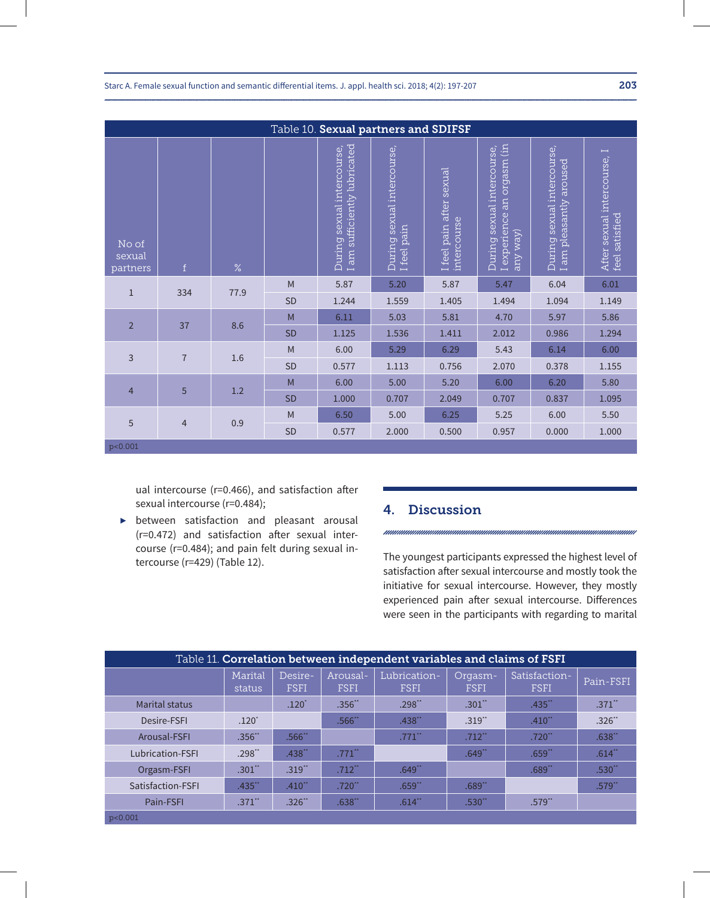|                             | Table 10. Sexual partners and SDIFSF |           |                                   |                                                                      |                                           |                                         |                                                                      |                                                             |                                               |  |  |  |
|-----------------------------|--------------------------------------|-----------|-----------------------------------|----------------------------------------------------------------------|-------------------------------------------|-----------------------------------------|----------------------------------------------------------------------|-------------------------------------------------------------|-----------------------------------------------|--|--|--|
| No of<br>sexual<br>partners | f                                    | $\%$      |                                   | I am sufficiently lubricated<br>sexual intercourse,<br><b>During</b> | During sexual intercourse,<br>I feel pain | I feel pain after sexual<br>intercourse | I experience an orgasm (in<br>During sexual intercourse,<br>any way) | sexual intercourse,<br>aroused<br>I am pleasantly<br>During | After sexual intercourse, I<br>feel satisfied |  |  |  |
| $\mathbf{1}$                | 334                                  | 77.9      | M                                 | 5.87                                                                 | 5.20                                      | 5.87                                    | 5.47                                                                 | 6.04                                                        | 6.01                                          |  |  |  |
|                             |                                      |           | <b>SD</b>                         | 1.244                                                                | 1.559                                     | 1.405                                   | 1.494                                                                | 1.094                                                       | 1.149                                         |  |  |  |
| $\overline{2}$              | 37                                   | 8.6       | M                                 | 6.11                                                                 | 5.03                                      | 5.81                                    | 4.70                                                                 | 5.97                                                        | 5.86                                          |  |  |  |
|                             |                                      |           | <b>SD</b>                         | 1.125                                                                | 1.536                                     | 1.411                                   | 2.012                                                                | 0.986                                                       | 1.294                                         |  |  |  |
| 3                           | $\overline{7}$                       | 1.6       | $\mathsf{M}% _{H}=\mathsf{M}_{H}$ | 6.00                                                                 | 5.29                                      | 6.29                                    | 5.43                                                                 | 6.14                                                        | 6.00                                          |  |  |  |
|                             |                                      |           | SD                                | 0.577                                                                | 1.113                                     | 0.756                                   | 2.070                                                                | 0.378                                                       | 1.155                                         |  |  |  |
|                             |                                      |           | M                                 | 6.00                                                                 | 5.00                                      | 5.20                                    | 6.00                                                                 | 6.20                                                        | 5.80                                          |  |  |  |
| $\overline{4}$              | 5                                    | 1.2       | <b>SD</b>                         | 1.000                                                                | 0.707                                     | 2.049                                   | 0.707                                                                | 0.837                                                       | 1.095                                         |  |  |  |
|                             |                                      |           | M                                 | 6.50                                                                 | 5.00                                      | 6.25                                    | 5.25                                                                 | 6.00                                                        | 5.50                                          |  |  |  |
| 5<br>$\overline{4}$         | 0.9                                  | <b>SD</b> | 0.577                             | 2.000                                                                | 0.500                                     | 0.957                                   | 0.000                                                                | 1.000                                                       |                                               |  |  |  |
| p<0.001                     |                                      |           |                                   |                                                                      |                                           |                                         |                                                                      |                                                             |                                               |  |  |  |

ual intercourse (r=0.466), and satisfaction after sexual intercourse (r=0.484);

▶ between satisfaction and pleasant arousal (r=0.472) and satisfaction after sexual intercourse (r=0.484); and pain felt during sexual intercourse (r=429) (Table 12).

## 4. Discussion

The youngest participants expressed the highest level of satisfaction after sexual intercourse and mostly took the initiative for sexual intercourse. However, they mostly experienced pain after sexual intercourse. Differences were seen in the participants with regarding to marital

| Table 11. Correlation between independent variables and claims of FSFI |                      |                        |                         |                             |                        |                              |                      |  |  |  |  |
|------------------------------------------------------------------------|----------------------|------------------------|-------------------------|-----------------------------|------------------------|------------------------------|----------------------|--|--|--|--|
|                                                                        | Marital<br>status    | Desire-<br><b>FSFI</b> | Arousal-<br><b>FSFI</b> | Lubrication-<br><b>FSFI</b> | Orgasm-<br><b>FSFI</b> | Satisfaction-<br><b>FSFI</b> | Pain-FSFI            |  |  |  |  |
| Marital status                                                         |                      | $.120*$                | $.356$ **               | .298"                       | $.301$ **              | $.435$ <sup>**</sup>         | $.371$ <sup>**</sup> |  |  |  |  |
| Desire-FSFI                                                            | $.120*$              |                        | $.566$ <sup>**</sup>    | .438"                       | $.319$ <sup>**</sup>   | $.410$ <sup>**</sup>         | .326"                |  |  |  |  |
| Arousal-FSFI                                                           | $.356$ <sup>**</sup> | .566"                  |                         | $.771$ <sup>**</sup>        | $.712$ <sup>**</sup>   | $.720$ <sup>**</sup>         | .638"                |  |  |  |  |
| Lubrication-FSFI                                                       | $.298**$             | $.438$ **              | $.771$ **               |                             | .649"                  | .659"                        | .614"                |  |  |  |  |
| Orgasm-FSFI                                                            | $.301$ **            | .319"                  | $.712$ <sup>**</sup>    | .649"                       |                        | .689"                        | .530                 |  |  |  |  |
| Satisfaction-FSFI                                                      | $.435$ <sup>**</sup> | $.410**$               | $.720$ <sup>**</sup>    | .659"                       | .689"                  |                              | $.579$ <sup>**</sup> |  |  |  |  |
| Pain-FSFI                                                              | $.371$ **            | $.326$ **              | $.638$ <sup>**</sup>    | .614"                       | $.530$ <sup>**</sup>   | $.579$ <sup>**</sup>         |                      |  |  |  |  |
| p<0.001                                                                |                      |                        |                         |                             |                        |                              |                      |  |  |  |  |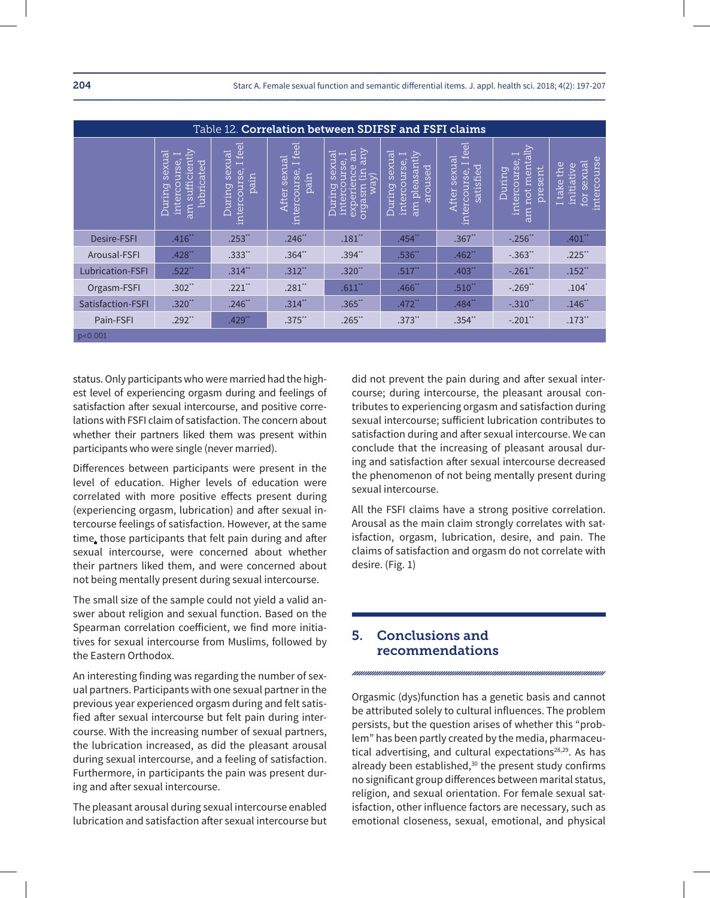|                         | Table 12. Correlation between SDIFSF and FSFI claims                   |                                                |                                                |                                                                                           |                                                                                                              |                                                                               |                                                                          |                                                          |  |  |  |  |
|-------------------------|------------------------------------------------------------------------|------------------------------------------------|------------------------------------------------|-------------------------------------------------------------------------------------------|--------------------------------------------------------------------------------------------------------------|-------------------------------------------------------------------------------|--------------------------------------------------------------------------|----------------------------------------------------------|--|--|--|--|
|                         | am sufficiently<br>sexual<br>⊣<br>intercourse,<br>lubricated<br>During | Ifeel<br>During sexual<br>intercourse,<br>pain | I feel<br>After sexual<br>intercourse,<br>pain | gry<br>an<br>sexual<br>−<br>intercourse,<br>experience<br>l.E<br>way)<br>msepro<br>During | sexual<br>$\overline{\text{am}}$ pleasantly<br>$\overline{\phantom{0}}$<br>intercourse,<br>aroused<br>During | feel<br>After sexual<br>Ē,<br>$\overline{\sigma}$<br>intercourse,<br>satisfie | not mentally<br>$\overline{a}$<br>intercourse,<br>present<br>puring<br>m | intercourse<br>sexual<br>I take the<br>initiative<br>for |  |  |  |  |
| <b>Desire-FSFI</b>      | $.416$ **                                                              | .253                                           | $.246**$                                       | $.181$ **                                                                                 | $.454$ **                                                                                                    | .367                                                                          | $-.256"$                                                                 | $.401$ "                                                 |  |  |  |  |
| Arousal-FSFI            | $.428$ **                                                              | .333**                                         | $.364$ **                                      | $.394$ **                                                                                 | .536**                                                                                                       | $.462$ **                                                                     | $-.363"$                                                                 | $.225$ **                                                |  |  |  |  |
| <b>Lubrication-FSFI</b> | $.522$ **                                                              | $.314$ **                                      | $.312$ **                                      | $.320$ **                                                                                 | $.517$ **                                                                                                    | .403"                                                                         | $-.261"$                                                                 | .152"                                                    |  |  |  |  |
| Orgasm-FSFI             | $.302**$                                                               | $.221$ **                                      | .281"                                          | .611"                                                                                     | .466"                                                                                                        | .510"                                                                         | $-.269"$                                                                 | $.104*$                                                  |  |  |  |  |
| Satisfaction-FSFI       | $.320$ **                                                              | $.246$ **                                      | $.314$ **                                      | $.365$ <sup>**</sup>                                                                      | $.472$ <sup>**</sup>                                                                                         | .484"                                                                         | $-.310"$                                                                 | .146"                                                    |  |  |  |  |
| Pain-FSFI               | $.292**$                                                               | $.429$ **                                      | $.375$ **                                      | $.265$ **                                                                                 | $.373$ "                                                                                                     | $.354$ **                                                                     | $-.201"$                                                                 | $.173$ "                                                 |  |  |  |  |
| p < 0.001               |                                                                        |                                                |                                                |                                                                                           |                                                                                                              |                                                                               |                                                                          |                                                          |  |  |  |  |

status. Only participants who were married had the highest level of experiencing orgasm during and feelings of satisfaction after sexual intercourse, and positive correlations with FSFI claim of satisfaction. The concern about whether their partners liked them was present within participants who were single (never married).

Differences between participants were present in the level of education. Higher levels of education were correlated with more positive effects present during (experiencing orgasm, lubrication) and after sexual intercourse feelings of satisfaction. However, at the same time, those participants that felt pain during and after sexual intercourse, were concerned about whether their partners liked them, and were concerned about not being mentally present during sexual intercourse.

The small size of the sample could not yield a valid answer about religion and sexual function. Based on the Spearman correlation coefficient, we find more initiatives for sexual intercourse from Muslims, followed by the Eastern Orthodox.

An interesting finding was regarding the number of sexual partners. Participants with one sexual partner in the previous year experienced orgasm during and felt satisfied after sexual intercourse but felt pain during intercourse. With the increasing number of sexual partners, the lubrication increased, as did the pleasant arousal during sexual intercourse, and a feeling of satisfaction. Furthermore, in participants the pain was present during and after sexual intercourse.

The pleasant arousal during sexual intercourse enabled lubrication and satisfaction after sexual intercourse but did not prevent the pain during and after sexual intercourse; during intercourse, the pleasant arousal contributes to experiencing orgasm and satisfaction during sexual intercourse; sufficient lubrication contributes to satisfaction during and after sexual intercourse. We can conclude that the increasing of pleasant arousal during and satisfaction after sexual intercourse decreased the phenomenon of not being mentally present during sexual intercourse.

All the FSFI claims have a strong positive correlation. Arousal as the main claim strongly correlates with satisfaction, orgasm, lubrication, desire, and pain. The claims of satisfaction and orgasm do not correlate with desire. (Fig. 1)

### 5. Conclusions and recommendations

Orgasmic (dys)function has a genetic basis and cannot be attributed solely to cultural influences. The problem persists, but the question arises of whether this "problem" has been partly created by the media, pharmaceutical advertising, and cultural expectations<sup>28,29</sup>. As has already been established,<sup>30</sup> the present study confirms no significant group differences between marital status, religion, and sexual orientation. For female sexual satisfaction, other influence factors are necessary, such as emotional closeness, sexual, emotional, and physical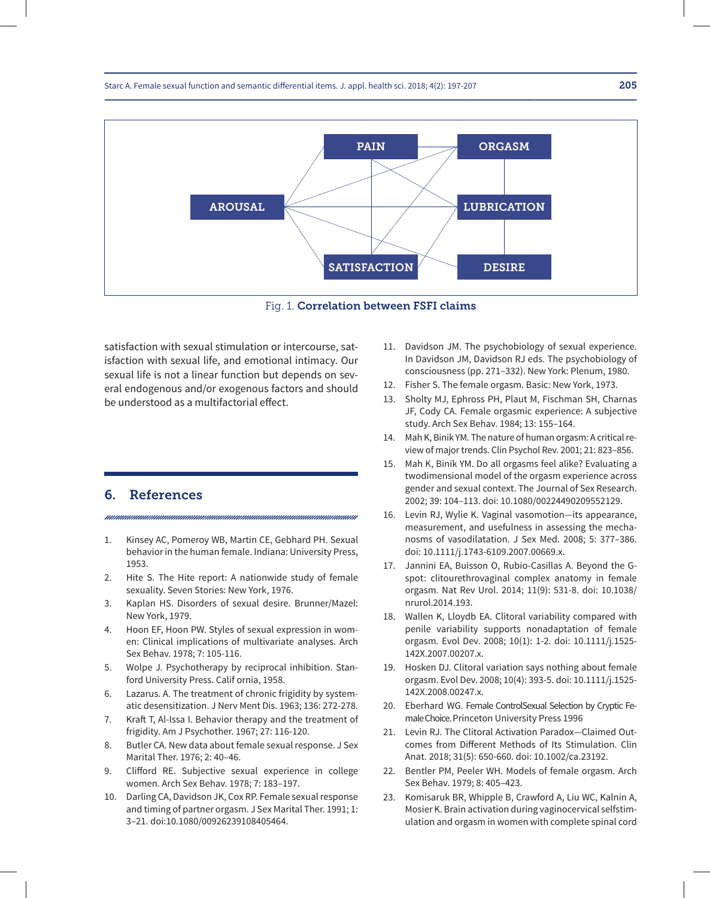



satisfaction with sexual stimulation or intercourse, satisfaction with sexual life, and emotional intimacy. Our sexual life is not a linear function but depends on several endogenous and/or exogenous factors and should be understood as a multifactorial effect.

#### 6. References

- 1. Kinsey AC, Pomeroy WB, Martin CE, Gebhard PH. Sexual behavior in the human female. Indiana: University Press, 1953.
- 2. Hite S. The Hite report: A nationwide study of female sexuality. Seven Stories: New York, 1976.
- 3. Kaplan HS. Disorders of sexual desire. Brunner/Mazel: New York, 1979.
- 4. Hoon EF, Hoon PW. Styles of sexual expression in women: Clinical implications of multivariate analyses. Arch Sex Behav. 1978; 7: 105-116.
- 5. Wolpe J. Psychotherapy by reciprocal inhibition. Stanford University Press. Calif ornia, 1958.
- 6. Lazarus. A. The treatment of chronic frigidity by systematic desensitization. J Nerv Ment Dis. 1963; 136: 272-278.
- 7. Kraft T, Al-Issa I. Behavior therapy and the treatment of frigidity. Am J Psychother. 1967; 27: 116-120.
- 8. Butler CA. New data about female sexual response. J Sex Marital Ther. 1976; 2: 40–46.
- 9. Clifford RE. Subjective sexual experience in college women. Arch Sex Behav. 1978; 7: 183–197.
- 10. Darling CA, Davidson JK, Cox RP. Female sexual response and timing of partner orgasm. J Sex Marital Ther. 1991; 1: 3–21. doi:10.1080/00926239108405464.
- 11. Davidson JM. The psychobiology of sexual experience. In Davidson JM, Davidson RJ eds. The psychobiology of consciousness (pp. 271–332). New York: Plenum, 1980.
- 12. Fisher S. The female orgasm. Basic: New York, 1973.
- 13. Sholty MJ, Ephross PH, Plaut M, Fischman SH, Charnas JF, Cody CA. Female orgasmic experience: A subjective study. Arch Sex Behav. 1984; 13: 155–164.
- 14. Mah K, Binik YM. The nature of human orgasm: A critical review of major trends. Clin Psychol Rev. 2001; 21: 823–856.
- 15. Mah K, Binik YM. Do all orgasms feel alike? Evaluating a twodimensional model of the orgasm experience across gender and sexual context. The Journal of Sex Research. 2002; 39: 104–113. doi: 10.1080/00224490209552129.
- 16. Levin RJ, Wylie K. Vaginal vasomotion—its appearance, measurement, and usefulness in assessing the mechanosms of vasodilatation. J Sex Med. 2008; 5: 377–386. doi: 10.1111/j.1743-6109.2007.00669.x.
- 17. Jannini EA, Buisson O, Rubio-Casillas A. Beyond the Gspot: clitourethrovaginal complex anatomy in female orgasm. Nat Rev Urol. 2014; 11(9): 531-8. doi: 10.1038/ nrurol.2014.193.
- 18. Wallen K, Lloydb EA. Clitoral variability compared with penile variability supports nonadaptation of female orgasm. Evol Dev. 2008; 10(1): 1-2. doi: 10.1111/j.1525- 142X.2007.00207.x.
- 19. Hosken DJ. Clitoral variation says nothing about female orgasm. Evol Dev. 2008; 10(4): 393-5. doi: 10.1111/j.1525- 142X.2008.00247.x.
- 20. Eberhard WG. Female ControlSexual Selection by Cryptic Female Choice. Princeton University Press 1996
- 21. Levin RJ. The Clitoral Activation Paradox—Claimed Outcomes from Different Methods of Its Stimulation. Clin Anat. 2018; 31(5): 650-660. doi: 10.1002/ca.23192.
- 22. Bentler PM, Peeler WH. Models of female orgasm. Arch Sex Behav. 1979; 8: 405–423.
- 23. Komisaruk BR, Whipple B, Crawford A, Liu WC, Kalnin A, Mosier K. Brain activation during vaginocervical selfstimulation and orgasm in women with complete spinal cord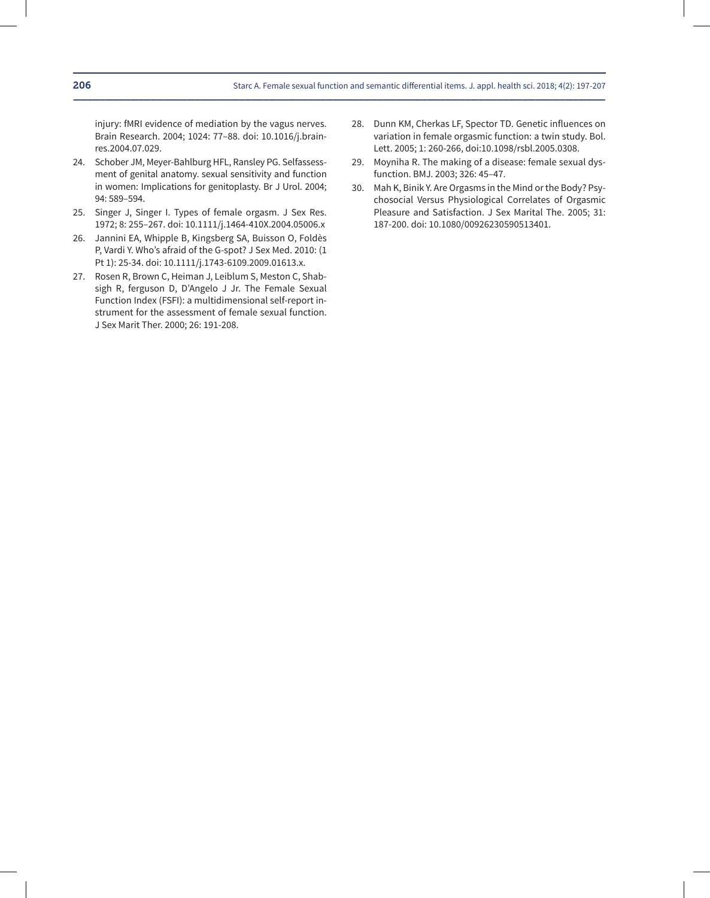injury: fMRI evidence of mediation by the vagus nerves. Brain Research. 2004; 1024: 77–88. doi: 10.1016/j.brainres.2004.07.029.

- 24. Schober JM, Meyer-Bahlburg HFL, Ransley PG. Selfassessment of genital anatomy. sexual sensitivity and function in women: Implications for genitoplasty. Br J Urol. 2004; 94: 589–594.
- 25. Singer J, Singer I. Types of female orgasm. J Sex Res. 1972; 8: 255–267. doi: 10.1111/j.1464-410X.2004.05006.x
- 26. Jannini EA, Whipple B, Kingsberg SA, Buisson O, Foldès P, Vardi Y. Who's afraid of the G-spot? J Sex Med. 2010: (1 Pt 1): 25-34. doi: 10.1111/j.1743-6109.2009.01613.x.
- 27. Rosen R, Brown C, Heiman J, Leiblum S, Meston C, Shabsigh R, ferguson D, D'Angelo J Jr. The Female Sexual Function Index (FSFI): a multidimensional self-report instrument for the assessment of female sexual function. J Sex Marit Ther. 2000; 26: 191-208.
- 28. Dunn KM, Cherkas LF, Spector TD. Genetic influences on variation in female orgasmic function: a twin study. Bol. Lett. 2005; 1: 260-266, doi:10.1098/rsbl.2005.0308.
- 29. Moyniha R. The making of a disease: female sexual dysfunction. BMJ. 2003; 326: 45–47.
- 30. Mah K, Binik Y. Are Orgasms in the Mind or the Body? Psychosocial Versus Physiological Correlates of Orgasmic Pleasure and Satisfaction. J Sex Marital The. 2005; 31: 187-200. doi: 10.1080/00926230590513401.